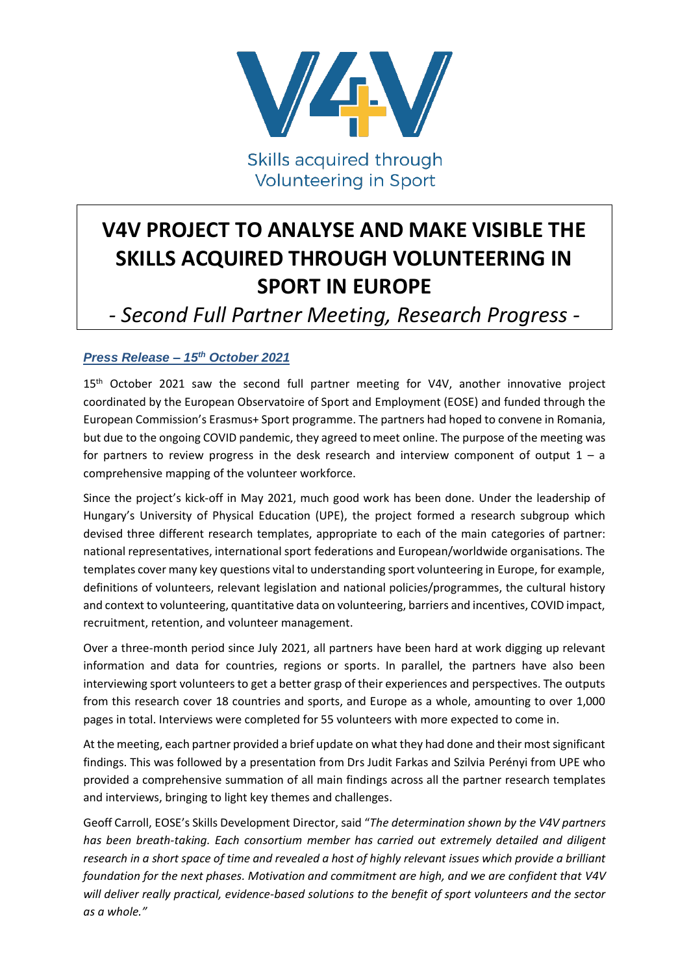

Skills acquired through **Volunteering in Sport** 

# **V4V PROJECT TO ANALYSE AND MAKE VISIBLE THE SKILLS ACQUIRED THROUGH VOLUNTEERING IN SPORT IN EUROPE**

## *- Second Full Partner Meeting, Research Progress -*

### *Press Release – 15th October 2021*

15<sup>th</sup> October 2021 saw the second full partner meeting for V4V, another innovative project coordinated by the European Observatoire of Sport and Employment (EOSE) and funded through the European Commission's Erasmus+ Sport programme. The partners had hoped to convene in Romania, but due to the ongoing COVID pandemic, they agreed to meet online. The purpose of the meeting was for partners to review progress in the desk research and interview component of output  $1 - a$ comprehensive mapping of the volunteer workforce.

Since the project's kick-off in May 2021, much good work has been done. Under the leadership of Hungary's University of Physical Education (UPE), the project formed a research subgroup which devised three different research templates, appropriate to each of the main categories of partner: national representatives, international sport federations and European/worldwide organisations. The templates cover many key questions vital to understanding sport volunteering in Europe, for example, definitions of volunteers, relevant legislation and national policies/programmes, the cultural history and context to volunteering, quantitative data on volunteering, barriers and incentives, COVID impact, recruitment, retention, and volunteer management.

Over a three-month period since July 2021, all partners have been hard at work digging up relevant information and data for countries, regions or sports. In parallel, the partners have also been interviewing sport volunteers to get a better grasp of their experiences and perspectives. The outputs from this research cover 18 countries and sports, and Europe as a whole, amounting to over 1,000 pages in total. Interviews were completed for 55 volunteers with more expected to come in.

At the meeting, each partner provided a brief update on what they had done and their most significant findings. This was followed by a presentation from Drs Judit Farkas and Szilvia Perényi from UPE who provided a comprehensive summation of all main findings across all the partner research templates and interviews, bringing to light key themes and challenges.

Geoff Carroll, EOSE's Skills Development Director, said "*The determination shown by the V4V partners has been breath-taking. Each consortium member has carried out extremely detailed and diligent research in a short space of time and revealed a host of highly relevant issues which provide a brilliant foundation for the next phases. Motivation and commitment are high, and we are confident that V4V will deliver really practical, evidence-based solutions to the benefit of sport volunteers and the sector as a whole."*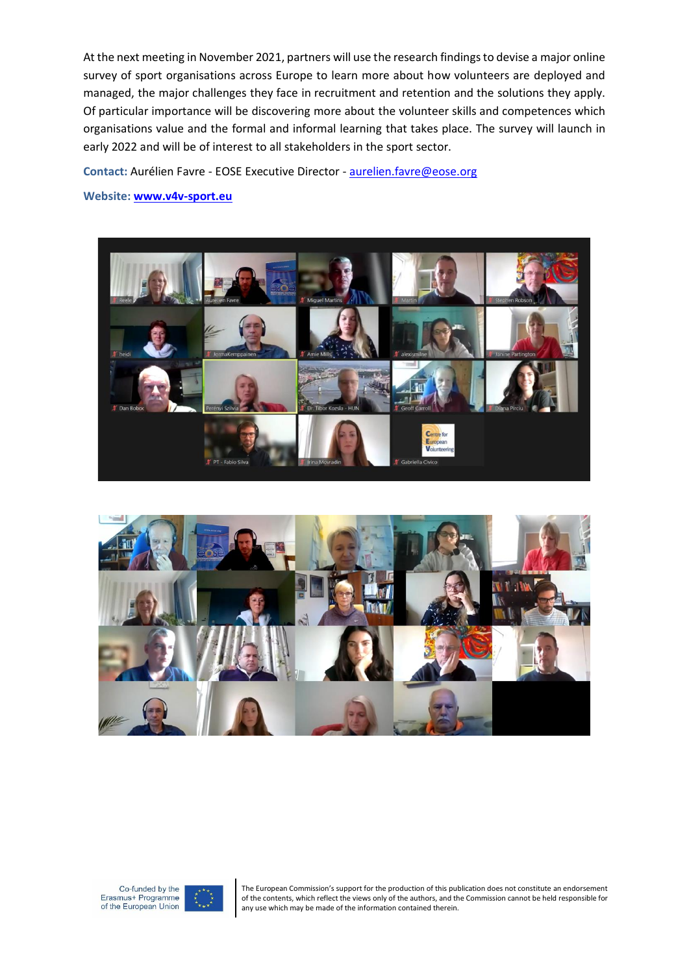At the next meeting in November 2021, partners will use the research findings to devise a major online survey of sport organisations across Europe to learn more about how volunteers are deployed and managed, the major challenges they face in recruitment and retention and the solutions they apply. Of particular importance will be discovering more about the volunteer skills and competences which organisations value and the formal and informal learning that takes place. The survey will launch in early 2022 and will be of interest to all stakeholders in the sport sector.

**Contact:** Aurélien Favre - EOSE Executive Director - [aurelien.favre@eose.org](mailto:aurelien.favre@eose.org)

#### **Website: [www.v4v-sport.eu](http://www.v4v-sport.eu/)**









The European Commission's support for the production of this publication does not constitute an endorsement of the contents, which reflect the views only of the authors, and the Commission cannot be held responsible for any use which may be made of the information contained therein.